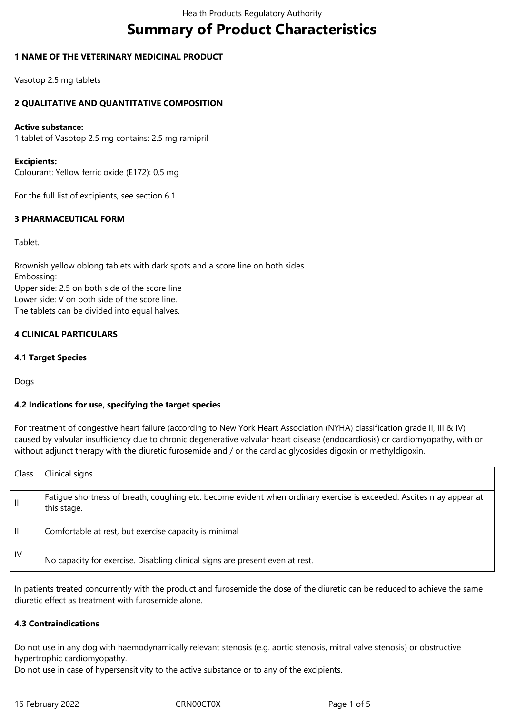# **Summary of Product Characteristics**

## **1 NAME OF THE VETERINARY MEDICINAL PRODUCT**

Vasotop 2.5 mg tablets

## **2 QUALITATIVE AND QUANTITATIVE COMPOSITION**

#### **Active substance:**

1 tablet of Vasotop 2.5 mg contains: 2.5 mg ramipril

#### **Excipients:**

Colourant: Yellow ferric oxide (E172): 0.5 mg

For the full list of excipients, see section 6.1

## **3 PHARMACEUTICAL FORM**

Tablet.

Brownish yellow oblong tablets with dark spots and a score line on both sides. Embossing: Upper side: 2.5 on both side of the score line Lower side: V on both side of the score line. The tablets can be divided into equal halves.

# **4 CLINICAL PARTICULARS**

#### **4.1 Target Species**

Dogs

#### **4.2 Indications for use, specifying the target species**

For treatment of congestive heart failure (according to New York Heart Association (NYHA) classification grade II, III & IV) caused by valvular insufficiency due to chronic degenerative valvular heart disease (endocardiosis) or cardiomyopathy, with or without adjunct therapy with the diuretic furosemide and / or the cardiac glycosides digoxin or methyldigoxin.

| Class          | Clinical signs                                                                                                                     |
|----------------|------------------------------------------------------------------------------------------------------------------------------------|
| $\mathbf{H}$   | Fatigue shortness of breath, coughing etc. become evident when ordinary exercise is exceeded. Ascites may appear at<br>this stage. |
| $\mathbf{III}$ | Comfortable at rest, but exercise capacity is minimal                                                                              |
| IV             | No capacity for exercise. Disabling clinical signs are present even at rest.                                                       |

In patients treated concurrently with the product and furosemide the dose of the diuretic can be reduced to achieve the same diuretic effect as treatment with furosemide alone.

#### **4.3 Contraindications**

Do not use in any dog with haemodynamically relevant stenosis (e.g. aortic stenosis, mitral valve stenosis) or obstructive hypertrophic cardiomyopathy.

Do not use in case of hypersensitivity to the active substance or to any of the excipients.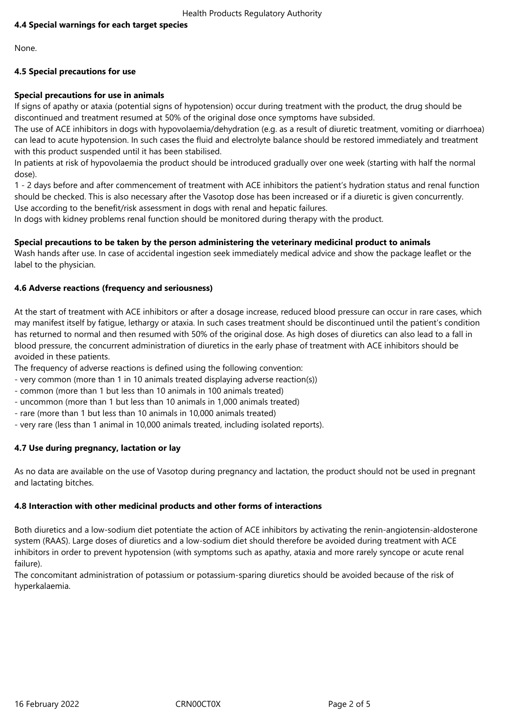# **4.4 Special warnings for each target species**

None.

# **4.5 Special precautions for use**

# **Special precautions for use in animals**

If signs of apathy or ataxia (potential signs of hypotension) occur during treatment with the product, the drug should be discontinued and treatment resumed at 50% of the original dose once symptoms have subsided.

The use of ACE inhibitors in dogs with hypovolaemia/dehydration (e.g. as a result of diuretic treatment, vomiting or diarrhoea) can lead to acute hypotension. In such cases the fluid and electrolyte balance should be restored immediately and treatment with this product suspended until it has been stabilised.

In patients at risk of hypovolaemia the product should be introduced gradually over one week (starting with half the normal dose).

1 - 2 days before and after commencement of treatment with ACE inhibitors the patient's hydration status and renal function should be checked. This is also necessary after the Vasotop dose has been increased or if a diuretic is given concurrently. Use according to the benefit/risk assessment in dogs with renal and hepatic failures.

In dogs with kidney problems renal function should be monitored during therapy with the product.

# **Special precautions to be taken by the person administering the veterinary medicinal product to animals**

Wash hands after use. In case of accidental ingestion seek immediately medical advice and show the package leaflet or the label to the physician.

# **4.6 Adverse reactions (frequency and seriousness)**

At the start of treatment with ACE inhibitors or after a dosage increase, reduced blood pressure can occur in rare cases, which may manifest itself by fatigue, lethargy or ataxia. In such cases treatment should be discontinued until the patient's condition has returned to normal and then resumed with 50% of the original dose. As high doses of diuretics can also lead to a fall in blood pressure, the concurrent administration of diuretics in the early phase of treatment with ACE inhibitors should be avoided in these patients.

The frequency of adverse reactions is defined using the following convention:

- very common (more than 1 in 10 animals treated displaying adverse reaction(s))
- common (more than 1 but less than 10 animals in 100 animals treated)
- uncommon (more than 1 but less than 10 animals in 1,000 animals treated)
- rare (more than 1 but less than 10 animals in 10,000 animals treated)
- very rare (less than 1 animal in 10,000 animals treated, including isolated reports).

# **4.7 Use during pregnancy, lactation or lay**

As no data are available on the use of Vasotop during pregnancy and lactation, the product should not be used in pregnant and lactating bitches.

#### **4.8 Interaction with other medicinal products and other forms of interactions**

Both diuretics and a low-sodium diet potentiate the action of ACE inhibitors by activating the renin-angiotensin-aldosterone system (RAAS). Large doses of diuretics and a low-sodium diet should therefore be avoided during treatment with ACE inhibitors in order to prevent hypotension (with symptoms such as apathy, ataxia and more rarely syncope or acute renal failure).

The concomitant administration of potassium or potassium-sparing diuretics should be avoided because of the risk of hyperkalaemia.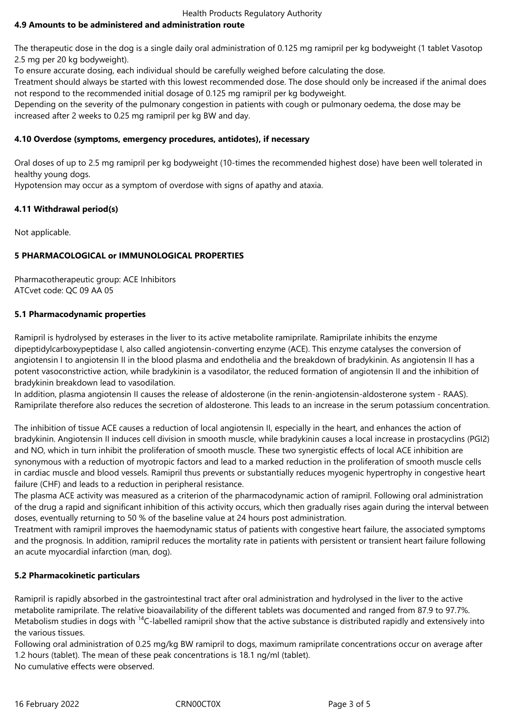Health Products Regulatory Authority

# **4.9 Amounts to be administered and administration route**

The therapeutic dose in the dog is a single daily oral administration of 0.125 mg ramipril per kg bodyweight (1 tablet Vasotop 2.5 mg per 20 kg bodyweight).

To ensure accurate dosing, each individual should be carefully weighed before calculating the dose.

Treatment should always be started with this lowest recommended dose. The dose should only be increased if the animal does not respond to the recommended initial dosage of 0.125 mg ramipril per kg bodyweight.

Depending on the severity of the pulmonary congestion in patients with cough or pulmonary oedema, the dose may be increased after 2 weeks to 0.25 mg ramipril per kg BW and day.

# **4.10 Overdose (symptoms, emergency procedures, antidotes), if necessary**

Oral doses of up to 2.5 mg ramipril per kg bodyweight (10-times the recommended highest dose) have been well tolerated in healthy young dogs.

Hypotension may occur as a symptom of overdose with signs of apathy and ataxia.

# **4.11 Withdrawal period(s)**

Not applicable.

# **5 PHARMACOLOGICAL or IMMUNOLOGICAL PROPERTIES**

Pharmacotherapeutic group: ACE Inhibitors ATCvet code: QC 09 AA 05

# **5.1 Pharmacodynamic properties**

Ramipril is hydrolysed by esterases in the liver to its active metabolite ramiprilate. Ramiprilate inhibits the enzyme dipeptidylcarboxypeptidase I, also called angiotensin-converting enzyme (ACE). This enzyme catalyses the conversion of angiotensin I to angiotensin II in the blood plasma and endothelia and the breakdown of bradykinin. As angiotensin II has a potent vasoconstrictive action, while bradykinin is a vasodilator, the reduced formation of angiotensin II and the inhibition of bradykinin breakdown lead to vasodilation.

In addition, plasma angiotensin II causes the release of aldosterone (in the renin-angiotensin-aldosterone system - RAAS). Ramiprilate therefore also reduces the secretion of aldosterone. This leads to an increase in the serum potassium concentration.

The inhibition of tissue ACE causes a reduction of local angiotensin II, especially in the heart, and enhances the action of bradykinin. Angiotensin II induces cell division in smooth muscle, while bradykinin causes a local increase in prostacyclins (PGI2) and NO, which in turn inhibit the proliferation of smooth muscle. These two synergistic effects of local ACE inhibition are synonymous with a reduction of myotropic factors and lead to a marked reduction in the proliferation of smooth muscle cells in cardiac muscle and blood vessels. Ramipril thus prevents or substantially reduces myogenic hypertrophy in congestive heart failure (CHF) and leads to a reduction in peripheral resistance.

The plasma ACE activity was measured as a criterion of the pharmacodynamic action of ramipril. Following oral administration of the drug a rapid and significant inhibition of this activity occurs, which then gradually rises again during the interval between doses, eventually returning to 50 % of the baseline value at 24 hours post administration.

Treatment with ramipril improves the haemodynamic status of patients with congestive heart failure, the associated symptoms and the prognosis. In addition, ramipril reduces the mortality rate in patients with persistent or transient heart failure following an acute myocardial infarction (man, dog).

# **5.2 Pharmacokinetic particulars**

Ramipril is rapidly absorbed in the gastrointestinal tract after oral administration and hydrolysed in the liver to the active metabolite ramiprilate. The relative bioavailability of the different tablets was documented and ranged from 87.9 to 97.7%. Metabolism studies in dogs with <sup>14</sup>C-labelled ramipril show that the active substance is distributed rapidly and extensively into the various tissues.

Following oral administration of 0.25 mg/kg BW ramipril to dogs, maximum ramiprilate concentrations occur on average after 1.2 hours (tablet). The mean of these peak concentrations is 18.1 ng/ml (tablet).

No cumulative effects were observed.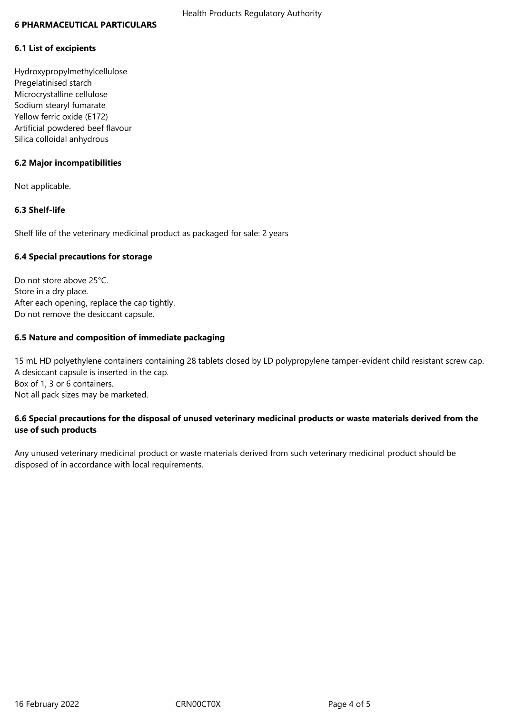#### **6 PHARMACEUTICAL PARTICULARS**

#### **6.1 List of excipients**

Hydroxypropylmethylcellulose Pregelatinised starch Microcrystalline cellulose Sodium stearyl fumarate Yellow ferric oxide (E172) Artificial powdered beef flavour Silica colloidal anhydrous

## **6.2 Major incompatibilities**

Not applicable.

## **6.3 Shelf-life**

Shelf life of the veterinary medicinal product as packaged for sale: 2 years

#### **6.4 Special precautions for storage**

Do not store above 25°C. Store in a dry place. After each opening, replace the cap tightly. Do not remove the desiccant capsule.

## **6.5 Nature and composition of immediate packaging**

15 mL HD polyethylene containers containing 28 tablets closed by LD polypropylene tamper-evident child resistant screw cap. A desiccant capsule is inserted in the cap. Box of 1, 3 or 6 containers. Not all pack sizes may be marketed.

# **6.6 Special precautions for the disposal of unused veterinary medicinal products or waste materials derived from the use of such products**

Any unused veterinary medicinal product or waste materials derived from such veterinary medicinal product should be disposed of in accordance with local requirements.